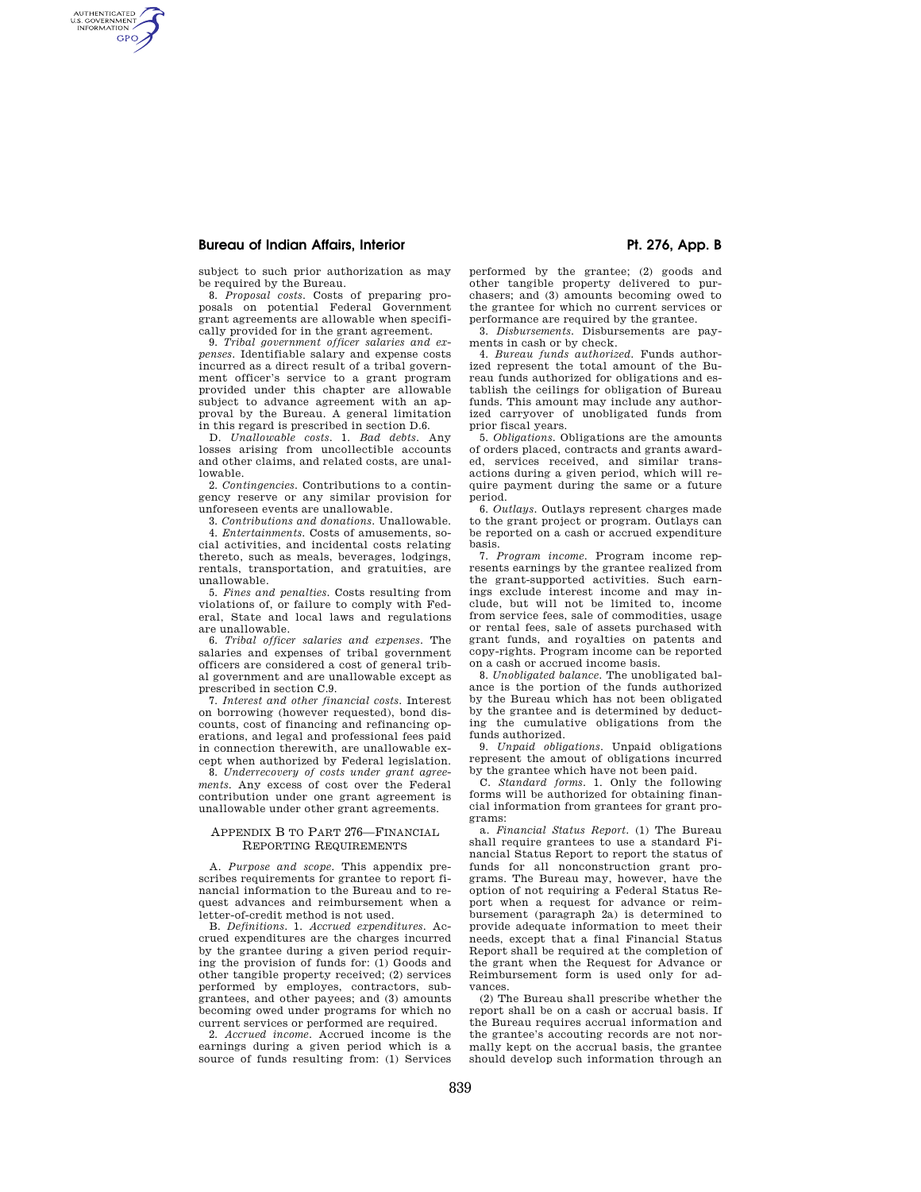## **Bureau of Indian Affairs, Interior Public Public Property Pt. 276, App. B**

AUTHENTICATED<br>U.S. GOVERNMENT<br>INFORMATION **GPO** 

subject to such prior authorization as may be required by the Bureau.

8. *Proposal costs.* Costs of preparing proposals on potential Federal Government grant agreements are allowable when specifically provided for in the grant agreement.

9. *Tribal government officer salaries and expenses.* Identifiable salary and expense costs incurred as a direct result of a tribal government officer's service to a grant program provided under this chapter are allowable subject to advance agreement with an approval by the Bureau. A general limitation in this regard is prescribed in section D.6.

D. *Unallowable costs.* 1. *Bad debts.* Any losses arising from uncollectible accounts and other claims, and related costs, are unallowable.

2. *Contingencies.* Contributions to a contingency reserve or any similar provision for unforeseen events are unallowable.

3. *Contributions and donations.* Unallowable. 4. *Entertainments.* Costs of amusements, social activities, and incidental costs relating thereto, such as meals, beverages, lodgings, rentals, transportation, and gratuities, are unallowable.

5. *Fines and penalties.* Costs resulting from violations of, or failure to comply with Federal, State and local laws and regulations are unallowable.

6. *Tribal officer salaries and expenses.* The salaries and expenses of tribal government officers are considered a cost of general tribal government and are unallowable except as prescribed in section C.9.

7. *Interest and other financial costs.* Interest on borrowing (however requested), bond discounts, cost of financing and refinancing operations, and legal and professional fees paid in connection therewith, are unallowable except when authorized by Federal legislation.

8. *Underrecovery of costs under grant agreements.* Any excess of cost over the Federal contribution under one grant agreement is unallowable under other grant agreements.

## APPENDIX B TO PART 276—FINANCIAL REPORTING REQUIREMENTS

A. *Purpose and scope.* This appendix prescribes requirements for grantee to report financial information to the Bureau and to request advances and reimbursement when a letter-of-credit method is not used.

B. *Definitions.* 1. *Accrued expenditures.* Accrued expenditures are the charges incurred by the grantee during a given period requiring the provision of funds for: (1) Goods and other tangible property received; (2) services performed by employes, contractors, subgrantees, and other payees; and (3) amounts becoming owed under programs for which no current services or performed are required.

2. *Accrued income.* Accrued income is the earnings during a given period which is a source of funds resulting from: (1) Services performed by the grantee; (2) goods and other tangible property delivered to purchasers; and (3) amounts becoming owed to the grantee for which no current services or performance are required by the grantee.

3. *Disbursements.* Disbursements are payments in cash or by check.

4. *Bureau funds authorized.* Funds authorized represent the total amount of the Bureau funds authorized for obligations and establish the ceilings for obligation of Bureau funds. This amount may include any authorized carryover of unobligated funds from prior fiscal years.

5. *Obligations.* Obligations are the amounts of orders placed, contracts and grants awarded, services received, and similar transactions during a given period, which will require payment during the same or a future period.

6. *Outlays.* Outlays represent charges made to the grant project or program. Outlays can be reported on a cash or accrued expenditure basis.

7. *Program income.* Program income represents earnings by the grantee realized from the grant-supported activities. Such earnings exclude interest income and may include, but will not be limited to, income from service fees, sale of commodities, usage or rental fees, sale of assets purchased with grant funds, and royalties on patents and copy-rights. Program income can be reported on a cash or accrued income basis.

8. *Unobligated balance.* The unobligated balance is the portion of the funds authorized by the Bureau which has not been obligated by the grantee and is determined by deducting the cumulative obligations from the funds authorized.

9. *Unpaid obligations.* Unpaid obligations represent the amout of obligations incurred by the grantee which have not been paid.

C. *Standard forms.* 1. Only the following forms will be authorized for obtaining financial information from grantees for grant programs:

a. *Financial Status Report.* (1) The Bureau shall require grantees to use a standard Financial Status Report to report the status of funds for all nonconstruction grant programs. The Bureau may, however, have the option of not requiring a Federal Status Report when a request for advance or reimbursement (paragraph 2a) is determined to provide adequate information to meet their needs, except that a final Financial Status Report shall be required at the completion of the grant when the Request for Advance or Reimbursement form is used only for advances.

(2) The Bureau shall prescribe whether the report shall be on a cash or accrual basis. If the Bureau requires accrual information and the grantee's accouting records are not normally kept on the accrual basis, the grantee should develop such information through an